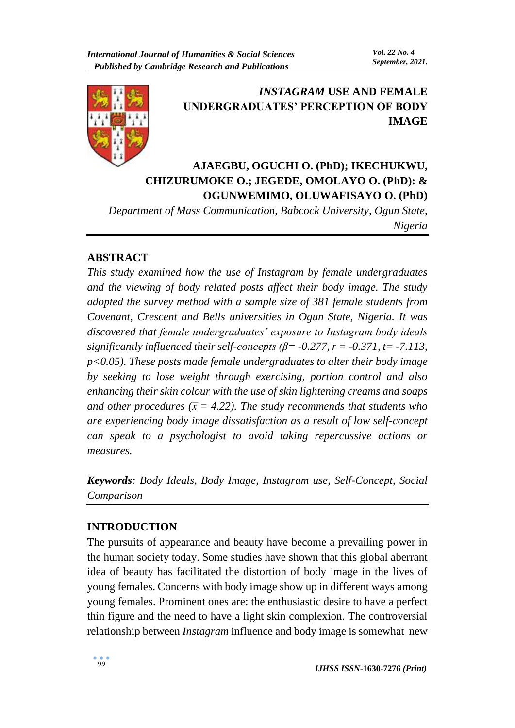

# *INSTAGRAM* **USE AND FEMALE UNDERGRADUATES' PERCEPTION OF BODY IMAGE**

# **AJAEGBU, OGUCHI O. (PhD); IKECHUKWU, CHIZURUMOKE O.; JEGEDE, OMOLAYO O. (PhD): & OGUNWEMIMO, OLUWAFISAYO O. (PhD)**

*Department of Mass Communication, Babcock University, Ogun State, Nigeria*

## **ABSTRACT**

*This study examined how the use of Instagram by female undergraduates and the viewing of body related posts affect their body image. The study adopted the survey method with a sample size of 381 female students from Covenant, Crescent and Bells universities in Ogun State, Nigeria. It was discovered that female undergraduates' exposure to Instagram body ideals significantly influenced their self-concepts (* $\beta$ *= -0.277, r = -0.371, t = -7.113, p<0.05). These posts made female undergraduates to alter their body image by seeking to lose weight through exercising, portion control and also enhancing their skin colour with the use of skin lightening creams and soaps and other procedures* ( $\bar{x}$  = 4.22). The study recommends that students who *are experiencing body image dissatisfaction as a result of low self-concept can speak to a psychologist to avoid taking repercussive actions or measures.* 

*Keywords: Body Ideals, Body Image, Instagram use, Self-Concept, Social Comparison* 

### **INTRODUCTION**

The pursuits of appearance and beauty have become a prevailing power in the human society today. Some studies have shown that this global aberrant idea of beauty has facilitated the distortion of body image in the lives of young females. Concerns with body image show up in different ways among young females. Prominent ones are: the enthusiastic desire to have a perfect thin figure and the need to have a light skin complexion. The controversial relationship between *Instagram* influence and body image is somewhat new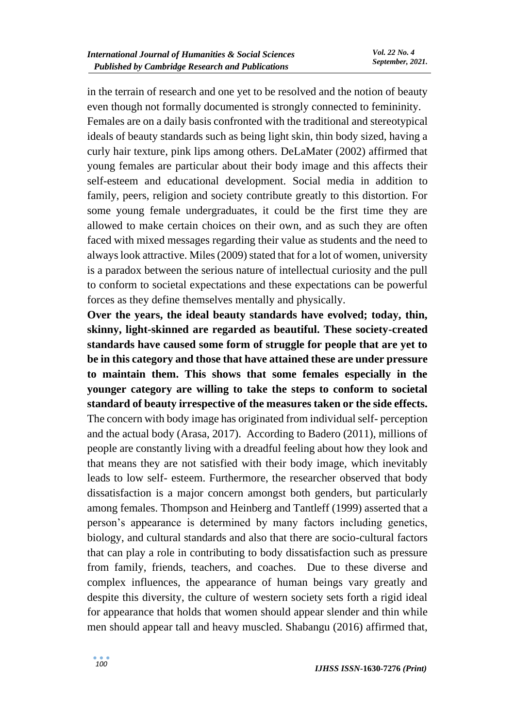in the terrain of research and one yet to be resolved and the notion of beauty even though not formally documented is strongly connected to femininity.

Females are on a daily basis confronted with the traditional and stereotypical ideals of beauty standards such as being light skin, thin body sized, having a curly hair texture, pink lips among others. DeLaMater (2002) affirmed that young females are particular about their body image and this affects their self-esteem and educational development. Social media in addition to family, peers, religion and society contribute greatly to this distortion. For some young female undergraduates, it could be the first time they are allowed to make certain choices on their own, and as such they are often faced with mixed messages regarding their value as students and the need to always look attractive. Miles (2009) stated that for a lot of women, university is a paradox between the serious nature of intellectual curiosity and the pull to conform to societal expectations and these expectations can be powerful forces as they define themselves mentally and physically.

**Over the years, the ideal beauty standards have evolved; today, thin, skinny, light-skinned are regarded as beautiful. These society-created standards have caused some form of struggle for people that are yet to be in this category and those that have attained these are under pressure to maintain them. This shows that some females especially in the younger category are willing to take the steps to conform to societal standard of beauty irrespective of the measures taken or the side effects.**  The concern with body image has originated from individual self- perception and the actual body (Arasa, 2017). According to Badero (2011), millions of people are constantly living with a dreadful feeling about how they look and that means they are not satisfied with their body image, which inevitably leads to low self- esteem. Furthermore, the researcher observed that body dissatisfaction is a major concern amongst both genders, but particularly among females. Thompson and Heinberg and Tantleff (1999) asserted that a person's appearance is determined by many factors including genetics, biology, and cultural standards and also that there are socio-cultural factors that can play a role in contributing to body dissatisfaction such as pressure from family, friends, teachers, and coaches. Due to these diverse and complex influences, the appearance of human beings vary greatly and despite this diversity, the culture of western society sets forth a rigid ideal for appearance that holds that women should appear slender and thin while men should appear tall and heavy muscled. Shabangu (2016) affirmed that,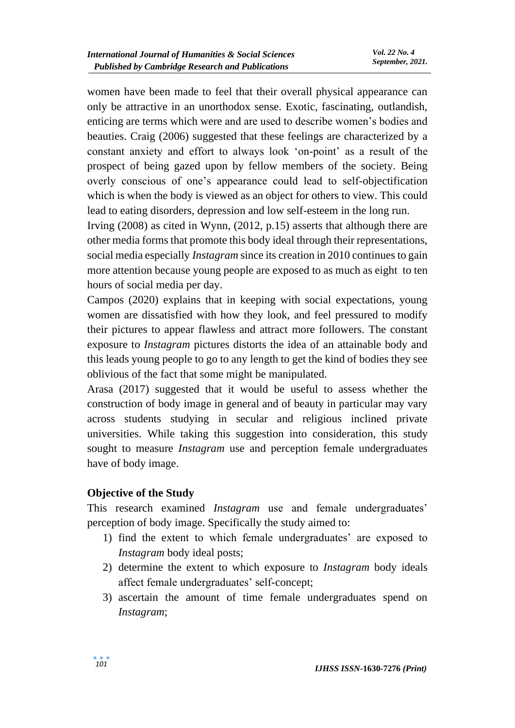women have been made to feel that their overall physical appearance can only be attractive in an unorthodox sense. Exotic, fascinating, outlandish, enticing are terms which were and are used to describe women's bodies and beauties. Craig (2006) suggested that these feelings are characterized by a constant anxiety and effort to always look 'on-point' as a result of the prospect of being gazed upon by fellow members of the society. Being overly conscious of one's appearance could lead to self-objectification which is when the body is viewed as an object for others to view. This could lead to eating disorders, depression and low self-esteem in the long run.

Irving (2008) as cited in Wynn, (2012, p.15) asserts that although there are other media forms that promote this body ideal through their representations, social media especially *Instagram* since its creation in 2010 continues to gain more attention because young people are exposed to as much as eight to ten hours of social media per day.

Campos (2020) explains that in keeping with social expectations, young women are dissatisfied with how they look, and feel pressured to modify their pictures to appear flawless and attract more followers. The constant exposure to *Instagram* pictures distorts the idea of an attainable body and this leads young people to go to any length to get the kind of bodies they see oblivious of the fact that some might be manipulated.

Arasa (2017) suggested that it would be useful to assess whether the construction of body image in general and of beauty in particular may vary across students studying in secular and religious inclined private universities. While taking this suggestion into consideration, this study sought to measure *Instagram* use and perception female undergraduates have of body image.

### **Objective of the Study**

This research examined *Instagram* use and female undergraduates' perception of body image. Specifically the study aimed to:

- 1) find the extent to which female undergraduates' are exposed to *Instagram* body ideal posts;
- 2) determine the extent to which exposure to *Instagram* body ideals affect female undergraduates' self-concept;
- 3) ascertain the amount of time female undergraduates spend on *Instagram*;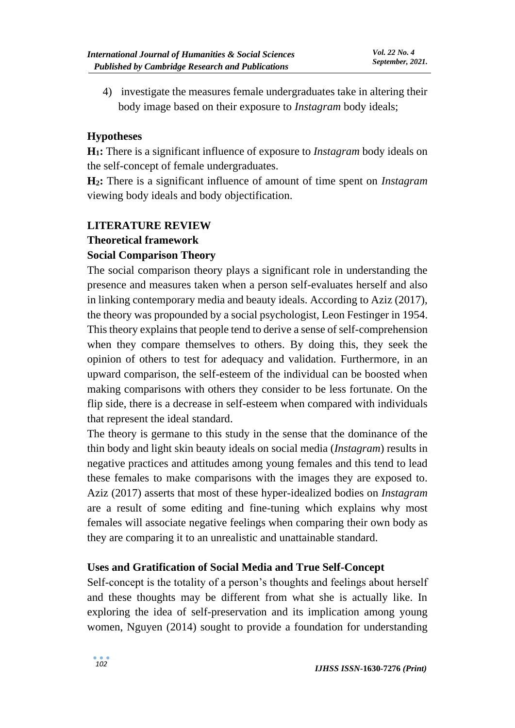4) investigate the measures female undergraduates take in altering their body image based on their exposure to *Instagram* body ideals;

### **Hypotheses**

**H1:** There is a significant influence of exposure to *Instagram* body ideals on the self-concept of female undergraduates.

**H2:** There is a significant influence of amount of time spent on *Instagram* viewing body ideals and body objectification.

# **LITERATURE REVIEW**

### **Theoretical framework**

## **Social Comparison Theory**

The social comparison theory plays a significant role in understanding the presence and measures taken when a person self-evaluates herself and also in linking contemporary media and beauty ideals. According to Aziz (2017), the theory was propounded by a social psychologist, Leon Festinger in 1954. This theory explains that people tend to derive a sense of self-comprehension when they compare themselves to others. By doing this, they seek the opinion of others to test for adequacy and validation. Furthermore, in an upward comparison, the self-esteem of the individual can be boosted when making comparisons with others they consider to be less fortunate. On the flip side, there is a decrease in self-esteem when compared with individuals that represent the ideal standard.

The theory is germane to this study in the sense that the dominance of the thin body and light skin beauty ideals on social media (*Instagram*) results in negative practices and attitudes among young females and this tend to lead these females to make comparisons with the images they are exposed to. Aziz (2017) asserts that most of these hyper-idealized bodies on *Instagram* are a result of some editing and fine-tuning which explains why most females will associate negative feelings when comparing their own body as they are comparing it to an unrealistic and unattainable standard.

### **Uses and Gratification of Social Media and True Self-Concept**

Self-concept is the totality of a person's thoughts and feelings about herself and these thoughts may be different from what she is actually like. In exploring the idea of self-preservation and its implication among young women, Nguyen (2014) sought to provide a foundation for understanding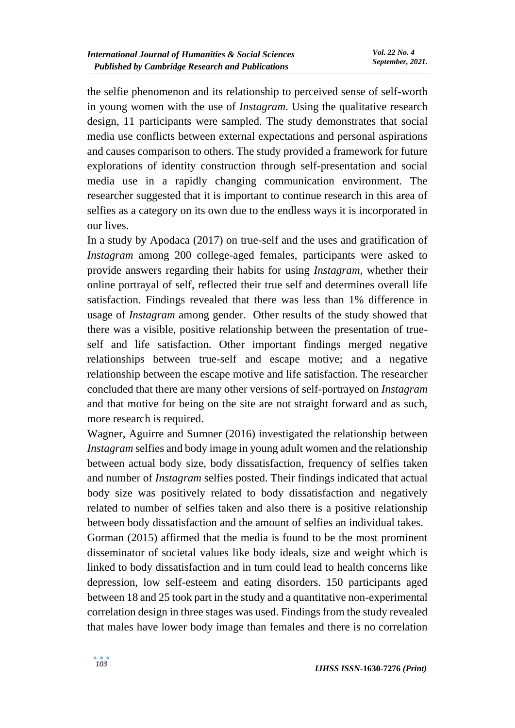the selfie phenomenon and its relationship to perceived sense of self-worth in young women with the use of *Instagram*. Using the qualitative research design, 11 participants were sampled. The study demonstrates that social media use conflicts between external expectations and personal aspirations and causes comparison to others. The study provided a framework for future explorations of identity construction through self-presentation and social media use in a rapidly changing communication environment. The researcher suggested that it is important to continue research in this area of selfies as a category on its own due to the endless ways it is incorporated in our lives.

In a study by Apodaca (2017) on true-self and the uses and gratification of *Instagram* among 200 college-aged females, participants were asked to provide answers regarding their habits for using *Instagram*, whether their online portrayal of self, reflected their true self and determines overall life satisfaction. Findings revealed that there was less than 1% difference in usage of *Instagram* among gender. Other results of the study showed that there was a visible, positive relationship between the presentation of trueself and life satisfaction. Other important findings merged negative relationships between true-self and escape motive; and a negative relationship between the escape motive and life satisfaction. The researcher concluded that there are many other versions of self-portrayed on *Instagram* and that motive for being on the site are not straight forward and as such, more research is required.

Wagner, Aguirre and Sumner (2016) investigated the relationship between *Instagram* selfies and body image in young adult women and the relationship between actual body size, body dissatisfaction, frequency of selfies taken and number of *Instagram* selfies posted. Their findings indicated that actual body size was positively related to body dissatisfaction and negatively related to number of selfies taken and also there is a positive relationship between body dissatisfaction and the amount of selfies an individual takes.

Gorman (2015) affirmed that the media is found to be the most prominent disseminator of societal values like body ideals, size and weight which is linked to body dissatisfaction and in turn could lead to health concerns like depression, low self-esteem and eating disorders. 150 participants aged between 18 and 25 took part in the study and a quantitative non-experimental correlation design in three stages was used. Findings from the study revealed that males have lower body image than females and there is no correlation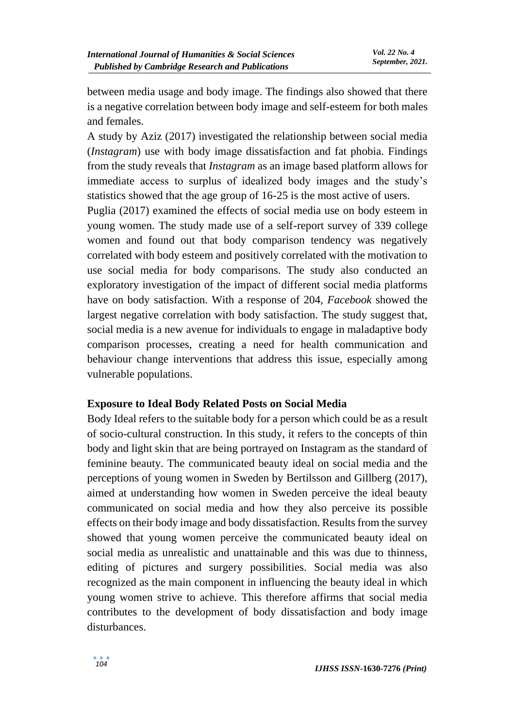between media usage and body image. The findings also showed that there is a negative correlation between body image and self-esteem for both males and females.

A study by Aziz (2017) investigated the relationship between social media (*Instagram*) use with body image dissatisfaction and fat phobia. Findings from the study reveals that *Instagram* as an image based platform allows for immediate access to surplus of idealized body images and the study's statistics showed that the age group of 16-25 is the most active of users.

Puglia (2017) examined the effects of social media use on body esteem in young women. The study made use of a self-report survey of 339 college women and found out that body comparison tendency was negatively correlated with body esteem and positively correlated with the motivation to use social media for body comparisons. The study also conducted an exploratory investigation of the impact of different social media platforms have on body satisfaction. With a response of 204, *Facebook* showed the largest negative correlation with body satisfaction. The study suggest that, social media is a new avenue for individuals to engage in maladaptive body comparison processes, creating a need for health communication and behaviour change interventions that address this issue, especially among vulnerable populations.

### **Exposure to Ideal Body Related Posts on Social Media**

Body Ideal refers to the suitable body for a person which could be as a result of socio-cultural construction. In this study, it refers to the concepts of thin body and light skin that are being portrayed on Instagram as the standard of feminine beauty. The communicated beauty ideal on social media and the perceptions of young women in Sweden by Bertilsson and Gillberg (2017), aimed at understanding how women in Sweden perceive the ideal beauty communicated on social media and how they also perceive its possible effects on their body image and body dissatisfaction. Results from the survey showed that young women perceive the communicated beauty ideal on social media as unrealistic and unattainable and this was due to thinness, editing of pictures and surgery possibilities. Social media was also recognized as the main component in influencing the beauty ideal in which young women strive to achieve. This therefore affirms that social media contributes to the development of body dissatisfaction and body image disturbances.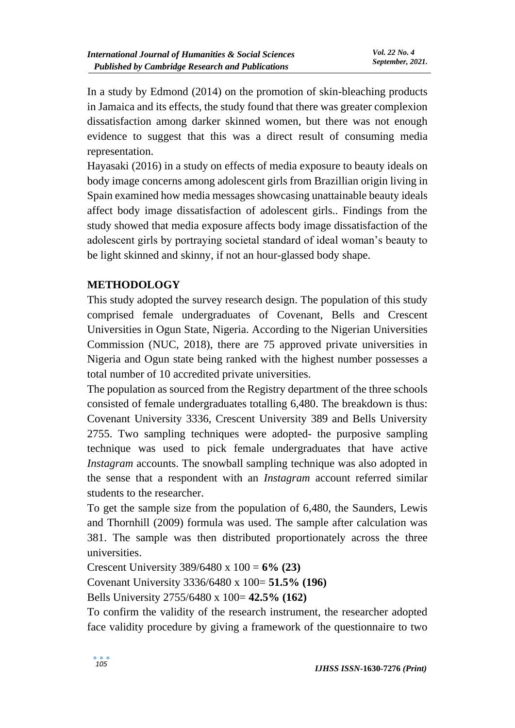In a study by Edmond (2014) on the promotion of skin-bleaching products in Jamaica and its effects, the study found that there was greater complexion dissatisfaction among darker skinned women, but there was not enough evidence to suggest that this was a direct result of consuming media representation.

Hayasaki (2016) in a study on effects of media exposure to beauty ideals on body image concerns among adolescent girls from Brazillian origin living in Spain examined how media messages showcasing unattainable beauty ideals affect body image dissatisfaction of adolescent girls.. Findings from the study showed that media exposure affects body image dissatisfaction of the adolescent girls by portraying societal standard of ideal woman's beauty to be light skinned and skinny, if not an hour-glassed body shape.

## **METHODOLOGY**

This study adopted the survey research design. The population of this study comprised female undergraduates of Covenant, Bells and Crescent Universities in Ogun State, Nigeria. According to the Nigerian Universities Commission (NUC, 2018), there are 75 approved private universities in Nigeria and Ogun state being ranked with the highest number possesses a total number of 10 accredited private universities.

The population as sourced from the Registry department of the three schools consisted of female undergraduates totalling 6,480. The breakdown is thus: Covenant University 3336, Crescent University 389 and Bells University 2755. Two sampling techniques were adopted- the purposive sampling technique was used to pick female undergraduates that have active *Instagram* accounts. The snowball sampling technique was also adopted in the sense that a respondent with an *Instagram* account referred similar students to the researcher.

To get the sample size from the population of 6,480, the Saunders, Lewis and Thornhill (2009) formula was used. The sample after calculation was 381. The sample was then distributed proportionately across the three universities.

Crescent University 389/6480 x 100 = **6% (23)** 

Covenant University 3336/6480 x 100= **51.5% (196)**

Bells University 2755/6480 x 100= **42.5% (162)**

To confirm the validity of the research instrument, the researcher adopted face validity procedure by giving a framework of the questionnaire to two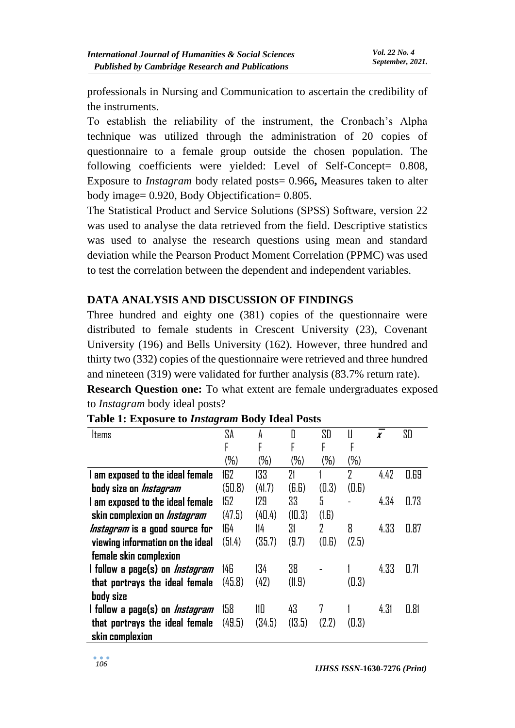professionals in Nursing and Communication to ascertain the credibility of the instruments.

To establish the reliability of the instrument, the Cronbach's Alpha technique was utilized through the administration of 20 copies of questionnaire to a female group outside the chosen population. The following coefficients were yielded: Level of Self-Concept= 0.808, Exposure to *Instagram* body related posts= 0.966**,** Measures taken to alter body image= 0.920, Body Objectification= 0.805.

The Statistical Product and Service Solutions (SPSS) Software, version 22 was used to analyse the data retrieved from the field. Descriptive statistics was used to analyse the research questions using mean and standard deviation while the Pearson Product Moment Correlation (PPMC) was used to test the correlation between the dependent and independent variables.

## **DATA ANALYSIS AND DISCUSSION OF FINDINGS**

Three hundred and eighty one (381) copies of the questionnaire were distributed to female students in Crescent University (23), Covenant University (196) and Bells University (162). However, three hundred and thirty two (332) copies of the questionnaire were retrieved and three hundred and nineteen (319) were validated for further analysis (83.7% return rate).

**Research Question one:** To what extent are female undergraduates exposed to *Instagram* body ideal posts?

| Items                                  | SA     | A       | D      | SD     | Ш      | $\boldsymbol{x}$ | SD   |
|----------------------------------------|--------|---------|--------|--------|--------|------------------|------|
|                                        | F      | F       | F      | F      | F      |                  |      |
|                                        | (%)    | $(\% )$ | $(\%)$ | $(\%)$ | $(\%)$ |                  |      |
| I am exposed to the ideal female       | 162    | 133     | 21     |        | 2      | 4.42             | 0.69 |
| body size on <i>Instagram</i>          | (50.8) | (41.7)  | (B.B)  | (0.3)  | (0.6)  |                  |      |
| I am exposed to the ideal female       | 152    | 129     | 33     | 5      |        | 4.34             | 0.73 |
| skin complexion on <i>Instagram</i>    | (47.5) | (40.4)  | (10.3) | (I.G)  |        |                  |      |
| <i>Instagram</i> is a good source for  | 164    | 114     | 31     | 2      | 8      | 4.33             | 0.87 |
| viewing information on the ideal       | (51.4) | (35.7)  | (9.7)  | (0.6)  | (2.5)  |                  |      |
| female skin complexion                 |        |         |        |        |        |                  |      |
| l follow a page(s) on <i>Instagram</i> | 146    | 134     | 38     |        |        | 4.33             | 0.71 |
| that portrays the ideal female         | (45.8) | (42)    | (11.9) |        | (0.3)  |                  |      |
| body size                              |        |         |        |        |        |                  |      |
| l follow a page(s) on <i>Instagram</i> | 158    | 110     | 43     | 7      |        | 4.31             | 0.81 |
| that portrays the ideal female         | (49.5) | (34.5)  | (13.5) | (2.2)  | (0.3)  |                  |      |
| skin complexion                        |        |         |        |        |        |                  |      |

### **Table 1: Exposure to** *Instagram* **Body Ideal Posts**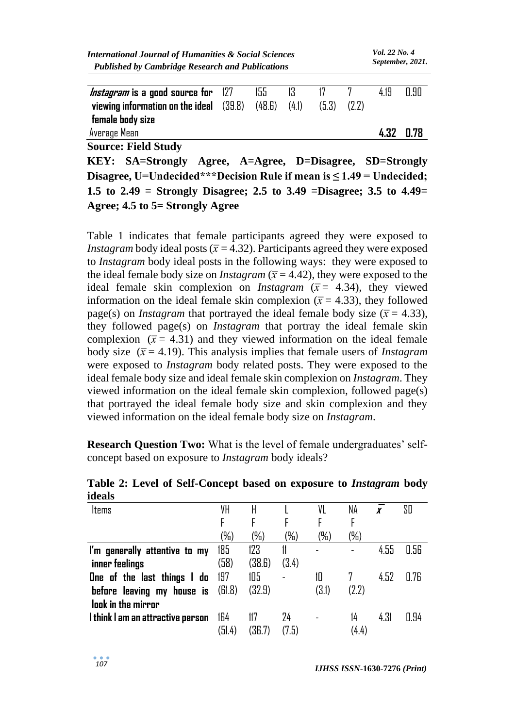| <b>International Journal of Humanities &amp; Social Sciences</b> | <i>Vol. 22 No. 4</i> |
|------------------------------------------------------------------|----------------------|
| <b>Published by Cambridge Research and Publications</b>          | September, 2021.     |
|                                                                  |                      |

| <i>Instagram</i> is a good source for 127<br>viewing information on the ideal $(39.8)$<br>female body size | 155<br>(48.6) | 13.<br>(4.1) | (5.3) | (2.2) | 419  | N 90 |
|------------------------------------------------------------------------------------------------------------|---------------|--------------|-------|-------|------|------|
| Average Mean                                                                                               |               |              |       |       | 4.32 | 0.78 |

**Source: Field Study**

**KEY: SA=Strongly Agree, A=Agree, D=Disagree, SD=Strongly Disagree, U=Undecided\*\*\*Decision Rule if mean is ≤ 1.49 = Undecided; 1.5 to 2.49 = Strongly Disagree; 2.5 to 3.49 =Disagree; 3.5 to 4.49= Agree; 4.5 to 5= Strongly Agree**

Table 1 indicates that female participants agreed they were exposed to *Instagram* body ideal posts ( $\bar{x}$  = 4.32). Participants agreed they were exposed to *Instagram* body ideal posts in the following ways: they were exposed to the ideal female body size on *Instagram* ( $\bar{x}$  = 4.42), they were exposed to the ideal female skin complexion on *Instagram* ( $\bar{x}$  = 4.34), they viewed information on the ideal female skin complexion  $(\bar{x} = 4.33)$ , they followed page(s) on *Instagram* that portrayed the ideal female body size ( $\bar{x}$  = 4.33), they followed page(s) on *Instagram* that portray the ideal female skin complexion  $(\bar{x} = 4.31)$  and they viewed information on the ideal female body size  $(\bar{x} = 4.19)$ . This analysis implies that female users of *Instagram* were exposed to *Instagram* body related posts. They were exposed to the ideal female body size and ideal female skin complexion on *Instagram*. They viewed information on the ideal female skin complexion, followed page(s) that portrayed the ideal female body size and skin complexion and they viewed information on the ideal female body size on *Instagram*.

**Research Question Two:** What is the level of female undergraduates' selfconcept based on exposure to *Instagram* body ideals?

| Items                             | VH     | H      |        | VL    | ΝA     |      | SD   |
|-----------------------------------|--------|--------|--------|-------|--------|------|------|
|                                   |        |        | F      |       |        |      |      |
|                                   | (%)    | (%)    | $(\%)$ | (%)   | $(\%)$ |      |      |
| I'm generally attentive to my     | 185    | 123    |        | -     |        | 4.55 | 0.56 |
| inner feelings                    | (58)   | (38.6) | (3.4)  |       |        |      |      |
| One of the last things I do       | 197    | 105    |        | 10    |        | 4.52 | 0.76 |
| before leaving my house is        | (61.8) | (32.9) |        | (3.1) | (2.2)  |      |      |
| look in the mirror                |        |        |        |       |        |      |      |
| I think I am an attractive person | 164    | 117    | 24     |       | 14     | 4.31 | 0.94 |
|                                   | (51.4) | (36.7) | (7.5)  |       | (4.4)  |      |      |

**Table 2: Level of Self-Concept based on exposure to** *Instagram* **body ideals**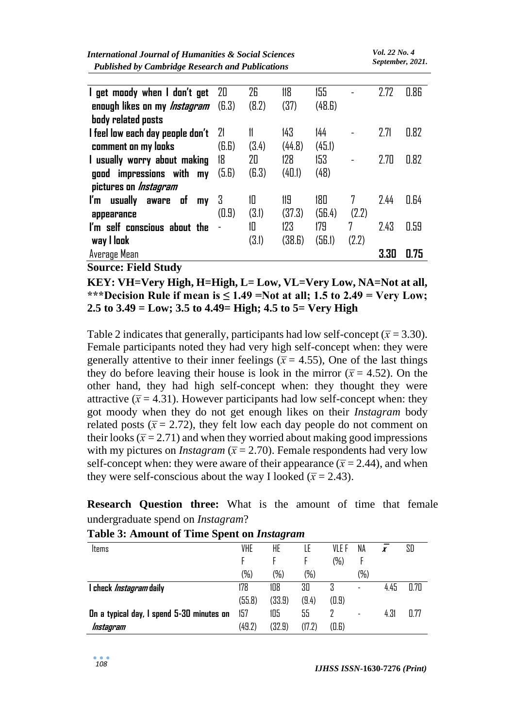| <b>International Journal of Humanities &amp; Social Sciences</b><br><b>Published by Cambridge Research and Publications</b> |       |       |        |        |       |      | Vol. 22 No. 4<br>September, 2021. |  |
|-----------------------------------------------------------------------------------------------------------------------------|-------|-------|--------|--------|-------|------|-----------------------------------|--|
|                                                                                                                             |       |       |        |        |       |      |                                   |  |
| I get moody when I don't get                                                                                                | 20    | 26    | 118    | 155    |       | 2.72 | 0.86                              |  |
| enough likes on my <i>Instagram</i>                                                                                         | (B.3) | (8.2) | (37)   | (48.6) |       |      |                                   |  |
| body related posts                                                                                                          |       |       |        |        |       |      |                                   |  |
| I feel low each day people don't                                                                                            | 21    | 11    | 143    | 144    |       | 2.71 | 0.82                              |  |
| comment on my looks                                                                                                         | (B.B) | (3.4) | (44.8) | (45.1) |       |      |                                   |  |
| I usually worry about making                                                                                                | 18    | 20    | 128    | 153    |       | 2.70 | 0.82                              |  |
| good impressions with my                                                                                                    | (5.6) | (B.3) | (40.1) | (48)   |       |      |                                   |  |
| pictures on <i>Instagram</i>                                                                                                |       |       |        |        |       |      |                                   |  |
| usually<br>- of<br>ľm<br>aware<br>my                                                                                        | 3     | 10    | 119    | 180    | 7     | 2.44 | 0.64                              |  |
| appearance                                                                                                                  | (0.9) | (3.1) | (37.3) | (56.4) | (2.2) |      |                                   |  |
| I'm self conscious about the                                                                                                |       | 10    | 123    | 179    | 7     | 2.43 | 0.59                              |  |
| way I look                                                                                                                  |       | (3.1) | (38.6) | (56.1) | (2.2) |      |                                   |  |
| Average Mean                                                                                                                |       |       |        |        |       | 3.30 | 0.75                              |  |

**Source: Field Study**

**KEY: VH=Very High, H=High, L= Low, VL=Very Low, NA=Not at all,**  \*\*\*Decision Rule if mean is  $\leq 1.49$  =Not at all; 1.5 to 2.49 = Very Low; **2.5 to 3.49 = Low; 3.5 to 4.49= High; 4.5 to 5= Very High**

Table 2 indicates that generally, participants had low self-concept ( $\bar{x}$  = 3.30). Female participants noted they had very high self-concept when: they were generally attentive to their inner feelings ( $\bar{x}$  = 4.55), One of the last things they do before leaving their house is look in the mirror ( $\bar{x}$  = 4.52). On the other hand, they had high self-concept when: they thought they were attractive  $(\bar{x} = 4.31)$ . However participants had low self-concept when: they got moody when they do not get enough likes on their *Instagram* body related posts ( $\bar{x}$  = 2.72), they felt low each day people do not comment on their looks ( $\bar{x}$  = 2.71) and when they worried about making good impressions with my pictures on *Instagram* ( $\bar{x}$  = 2.70). Female respondents had very low self-concept when: they were aware of their appearance ( $\bar{x}$  = 2.44), and when they were self-conscious about the way I looked ( $\bar{x}$  = 2.43).

**Research Question three:** What is the amount of time that female undergraduate spend on *Instagram*?

| ltems                                     | <b>VHE</b> | HE     | LE     | VLE F  | NA                       | x    | SD   |
|-------------------------------------------|------------|--------|--------|--------|--------------------------|------|------|
|                                           |            |        |        | $(\%)$ |                          |      |      |
|                                           | (%)        | (%)    | (%)    |        | $(\%)$                   |      |      |
| I check <i>Instagram</i> daily            | 178        | 108    | 30     | 3      | $\overline{\phantom{0}}$ | 4.45 | 0.70 |
|                                           | (55.8)     | (33.9) | (9.4)  | (0.9)  |                          |      |      |
| On a typical day, I spend 5-30 minutes on | 157        | 105    | 55     |        | $\overline{\phantom{a}}$ | 4.31 | 0.77 |
| Instagram                                 | (49.2)     | (32.9) | (17.2) | (0.6)  |                          |      |      |

#### **Table 3: Amount of Time Spent on** *Instagram*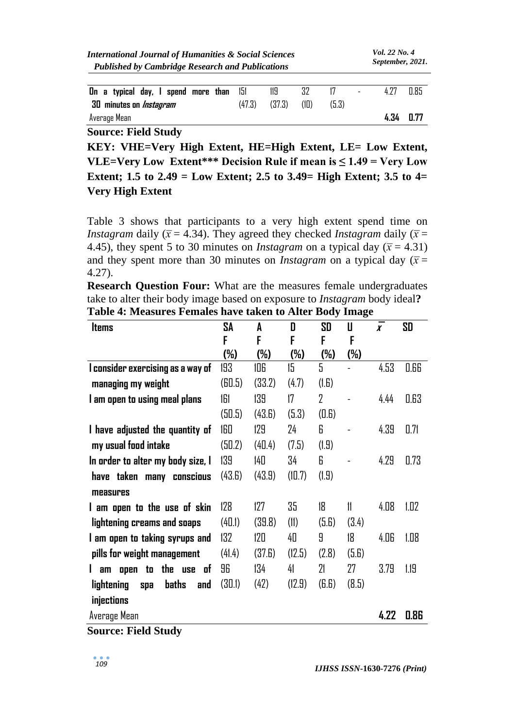| <b>International Journal of Humanities &amp; Social Sciences</b> |  |
|------------------------------------------------------------------|--|
| <b>Published by Cambridge Research and Publications</b>          |  |

| On a typical day, I spend more than 151 |        |        |      |       |           | 0.85 |
|-----------------------------------------|--------|--------|------|-------|-----------|------|
| 30 minutes on <i>Instagram</i>          | (47.3) | (37.3) | (10) | (5.3) |           |      |
| Average Mean                            |        |        |      |       | 4.34 0.77 |      |

**Source: Field Study**

**KEY: VHE=Very High Extent, HE=High Extent, LE= Low Extent, VLE=Very Low Extent\*\*\* Decision Rule if mean is**  $\leq 1.49$  **= Very Low Extent; 1.5 to 2.49 = Low Extent; 2.5 to 3.49= High Extent; 3.5 to 4= Very High Extent**

Table 3 shows that participants to a very high extent spend time on *Instagram* daily ( $\bar{x}$  = 4.34). They agreed they checked *Instagram* daily ( $\bar{x}$  = 4.45), they spent 5 to 30 minutes on *Instagram* on a typical day ( $\bar{x}$  = 4.31) and they spent more than 30 minutes on *Instagram* on a typical day ( $\bar{x}$  = 4.27).

**Research Question Four:** What are the measures female undergraduates take to alter their body image based on exposure to *Instagram* body ideal**? Table 4: Measures Females have taken to Alter Body Image**

| <b>Items</b>                             | SA                  | A      | D      | SD             | IJ     | I<br>$\boldsymbol{x}$ | SD   |
|------------------------------------------|---------------------|--------|--------|----------------|--------|-----------------------|------|
|                                          | F                   | F      | F      | F              | F      |                       |      |
|                                          | (%)                 | (%)    | $(\%)$ | $(\%)$         | $(\%)$ |                       |      |
| I consider exercising as a way of        | 193                 | 106    | 15     | 5              |        | 4.53                  | 0.66 |
| managing my weight                       | (B <sub>0.5</sub> ) | (33.2) | (4.7)  | (I.G)          |        |                       |      |
| I am open to using meal plans            | 161                 | 139    | 17     | $\overline{2}$ |        | 4.44                  | 0.63 |
|                                          | (50.5)              | (43.6) | (5.3)  | (0.6)          |        |                       |      |
| I have adjusted the quantity of          | 160                 | 129    | 24     | 6              |        | 4.39                  | 0.71 |
| my usual food intake                     | (50.2)              | (40.4) | (7.5)  | (1.9)          |        |                       |      |
| In order to alter my body size, I        | 139                 | 140    | 34     | 6              |        | 4.29                  | 0.73 |
| have taken many conscious                | (43.6)              | (43.9) | (10.7) | (1.9)          |        |                       |      |
| measures                                 |                     |        |        |                |        |                       |      |
| I am open to the use of skin             | 128                 | 127    | 35     | 18             | 11     | 4.08                  | 1.02 |
| lightening creams and soaps              | (40.1)              | (39.8) | (11)   | (5.6)          | (3.4)  |                       |      |
| I am open to taking syrups and           | 132                 | 120    | 40     | 9              | 18     | 4.06                  | 1.08 |
| pills for weight management              | (41.4)              | (37.6) | (12.5) | (2.8)          | (5.6)  |                       |      |
| am open to the use<br>of                 | 96                  | 134    | 41     | 21             | 27     | 3.79                  | 1.19 |
| <b>baths</b><br>lightening<br>and<br>spa | (30.1)              | (42)   | (12.9) | (B.B)          | (8.5)  |                       |      |
| injections                               |                     |        |        |                |        |                       |      |
| Average Mean                             |                     |        |        |                |        | 4.22                  | 0.86 |
| <b>Source: Field Study</b>               |                     |        |        |                |        |                       |      |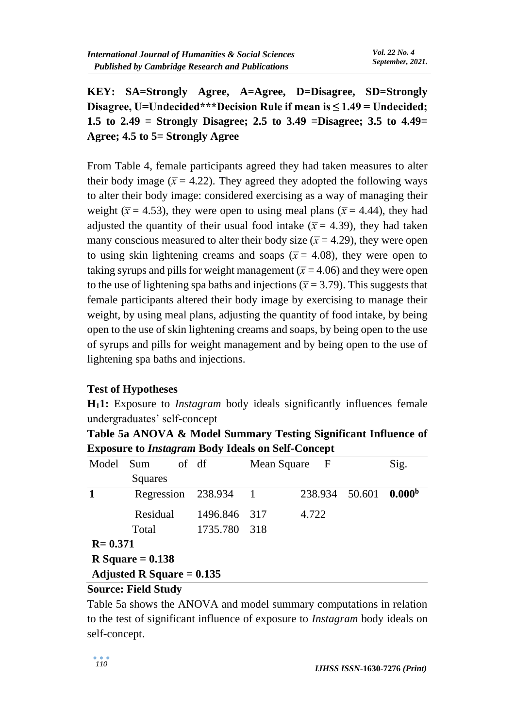**KEY: SA=Strongly Agree, A=Agree, D=Disagree, SD=Strongly Disagree, U=Undecided\*\*\*Decision Rule if mean is ≤ 1.49 = Undecided; 1.5 to 2.49 = Strongly Disagree; 2.5 to 3.49 =Disagree; 3.5 to 4.49= Agree; 4.5 to 5= Strongly Agree**

From Table 4, female participants agreed they had taken measures to alter their body image ( $\bar{x}$  = 4.22). They agreed they adopted the following ways to alter their body image: considered exercising as a way of managing their weight ( $\bar{x}$  = 4.53), they were open to using meal plans ( $\bar{x}$  = 4.44), they had adjusted the quantity of their usual food intake  $(\bar{x} = 4.39)$ , they had taken many conscious measured to alter their body size  $(\bar{x} = 4.29)$ , they were open to using skin lightening creams and soaps ( $\bar{x}$  = 4.08), they were open to taking syrups and pills for weight management  $(\bar{x} = 4.06)$  and they were open to the use of lightening spa baths and injections ( $\bar{x}$  = 3.79). This suggests that female participants altered their body image by exercising to manage their weight, by using meal plans, adjusting the quantity of food intake, by being open to the use of skin lightening creams and soaps, by being open to the use of syrups and pills for weight management and by being open to the use of lightening spa baths and injections.

### **Test of Hypotheses**

**H11:** Exposure to *Instagram* body ideals significantly influences female undergraduates' self-concept

**Table 5a ANOVA & Model Summary Testing Significant Influence of Exposure to** *Instagram* **Body Ideals on Self-Concept**

| Model       | Sum                         | of df        | Mean Square | $\overline{\phantom{a}}$ F | Sig.               |
|-------------|-----------------------------|--------------|-------------|----------------------------|--------------------|
|             | Squares                     |              |             |                            |                    |
|             | Regression                  | 238.934      |             | 238.934 50.601             | 0.000 <sup>b</sup> |
|             | Residual                    | 1496.846     | -317        | 4.722                      |                    |
|             | Total                       | 1735.780 318 |             |                            |                    |
| $R = 0.371$ |                             |              |             |                            |                    |
|             | R Square $= 0.138$          |              |             |                            |                    |
|             | Adjusted R Square $= 0.135$ |              |             |                            |                    |

### **Source: Field Study**

Table 5a shows the ANOVA and model summary computations in relation to the test of significant influence of exposure to *Instagram* body ideals on self-concept.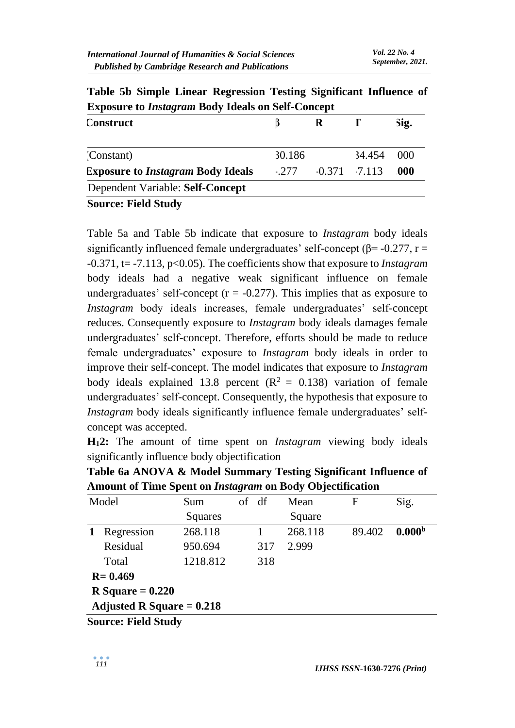| Exposure to History funt Dowl rueting on Sen Concept |        |   |                  |        |  |  |  |  |
|------------------------------------------------------|--------|---|------------------|--------|--|--|--|--|
| Construct                                            |        | R |                  | Sig.   |  |  |  |  |
| (Constant)                                           | 30.186 |   | 34.454           | (1)(1) |  |  |  |  |
| <b>Exposure to Instagram Body Ideals</b>             | $-277$ |   | $-0.371 - 7.113$ | .000   |  |  |  |  |
| Dependent Variable: Self-Concept                     |        |   |                  |        |  |  |  |  |
| <b>Source: Field Study</b>                           |        |   |                  |        |  |  |  |  |

**Table 5b Simple Linear Regression Testing Significant Influence of Exposure to** *Instagram* **Body Ideals on Self-Concept**

Table 5a and Table 5b indicate that exposure to *Instagram* body ideals significantly influenced female undergraduates' self-concept ( $\beta$ = -0.277, r = -0.371, t= -7.113, p<0.05). The coefficients show that exposure to *Instagram* body ideals had a negative weak significant influence on female undergraduates' self-concept ( $r = -0.277$ ). This implies that as exposure to *Instagram* body ideals increases, female undergraduates' self-concept reduces. Consequently exposure to *Instagram* body ideals damages female undergraduates' self-concept. Therefore, efforts should be made to reduce female undergraduates' exposure to *Instagram* body ideals in order to improve their self-concept. The model indicates that exposure to *Instagram* body ideals explained 13.8 percent  $(R^2 = 0.138)$  variation of female undergraduates' self-concept. Consequently, the hypothesis that exposure to *Instagram* body ideals significantly influence female undergraduates' selfconcept was accepted.

**H12:** The amount of time spent on *Instagram* viewing body ideals significantly influence body objectification

| Table 6a ANOVA & Model Summary Testing Significant Influence of |                                                                  |       |         |  |                  |  |  |
|-----------------------------------------------------------------|------------------------------------------------------------------|-------|---------|--|------------------|--|--|
|                                                                 | Amount of Time Spent on <i>Instagram</i> on Body Objectification |       |         |  |                  |  |  |
| Model                                                           | $S_{11}m$                                                        | of df | $M$ ean |  | $\mathbf{S}$ ior |  |  |

| Model                       |                            | Sum      |  | of df | Mean    | F      | Sig.               |  |  |
|-----------------------------|----------------------------|----------|--|-------|---------|--------|--------------------|--|--|
|                             |                            | Squares  |  |       | Square  |        |                    |  |  |
|                             | Regression                 | 268.118  |  |       | 268.118 | 89.402 | 0.000 <sup>b</sup> |  |  |
|                             | Residual                   | 950.694  |  | 317   | 2.999   |        |                    |  |  |
|                             | Total                      | 1218.812 |  | 318   |         |        |                    |  |  |
| $R = 0.469$                 |                            |          |  |       |         |        |                    |  |  |
| R Square $= 0.220$          |                            |          |  |       |         |        |                    |  |  |
| Adjusted R Square = $0.218$ |                            |          |  |       |         |        |                    |  |  |
|                             | <b>Source: Field Study</b> |          |  |       |         |        |                    |  |  |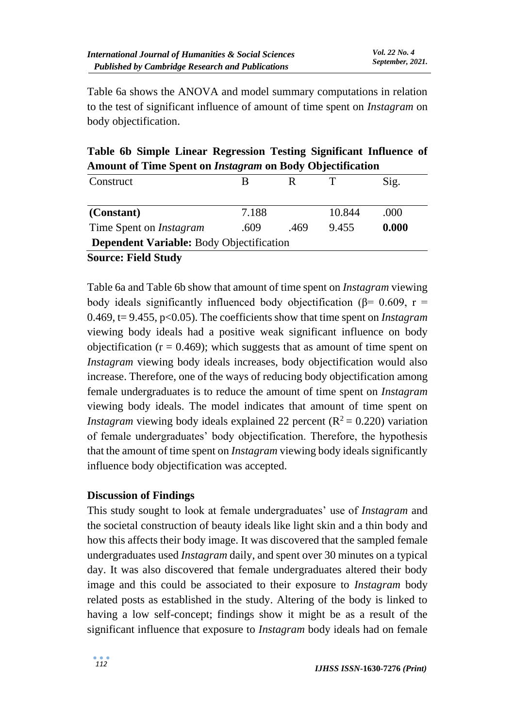Table 6a shows the ANOVA and model summary computations in relation to the test of significant influence of amount of time spent on *Instagram* on body objectification.

**Table 6b Simple Linear Regression Testing Significant Influence of Amount of Time Spent on** *Instagram* **on Body Objectification**

| Construct                                       |       |      |        | Sig.  |  |  |  |  |  |
|-------------------------------------------------|-------|------|--------|-------|--|--|--|--|--|
|                                                 |       |      |        |       |  |  |  |  |  |
| (Constant)                                      | 7.188 |      | 10.844 | .000  |  |  |  |  |  |
| Time Spent on <i>Instagram</i>                  | .609  | .469 | 9.455  | 0.000 |  |  |  |  |  |
| <b>Dependent Variable:</b> Body Objectification |       |      |        |       |  |  |  |  |  |
| $\sim$<br><b>THILA</b>                          |       |      |        |       |  |  |  |  |  |

**Source: Field Study**

Table 6a and Table 6b show that amount of time spent on *Instagram* viewing body ideals significantly influenced body objectification ( $\beta$ = 0.609, r = 0.469, t= 9.455, p<0.05). The coefficients show that time spent on *Instagram* viewing body ideals had a positive weak significant influence on body objectification ( $r = 0.469$ ); which suggests that as amount of time spent on *Instagram* viewing body ideals increases, body objectification would also increase. Therefore, one of the ways of reducing body objectification among female undergraduates is to reduce the amount of time spent on *Instagram* viewing body ideals. The model indicates that amount of time spent on *Instagram* viewing body ideals explained 22 percent  $(R^2 = 0.220)$  variation of female undergraduates' body objectification. Therefore, the hypothesis that the amount of time spent on *Instagram* viewing body ideals significantly influence body objectification was accepted.

### **Discussion of Findings**

This study sought to look at female undergraduates' use of *Instagram* and the societal construction of beauty ideals like light skin and a thin body and how this affects their body image. It was discovered that the sampled female undergraduates used *Instagram* daily, and spent over 30 minutes on a typical day. It was also discovered that female undergraduates altered their body image and this could be associated to their exposure to *Instagram* body related posts as established in the study. Altering of the body is linked to having a low self-concept; findings show it might be as a result of the significant influence that exposure to *Instagram* body ideals had on female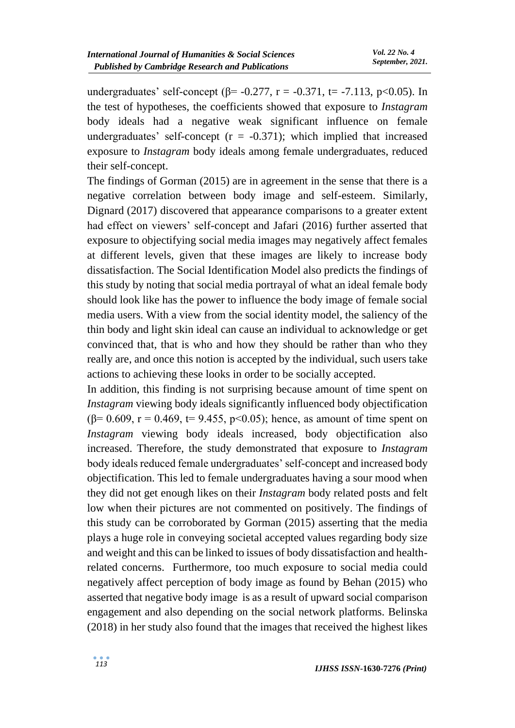undergraduates' self-concept ( $\beta$ = -0.277, r = -0.371, t= -7.113, p<0.05). In the test of hypotheses, the coefficients showed that exposure to *Instagram* body ideals had a negative weak significant influence on female undergraduates' self-concept  $(r = -0.371)$ ; which implied that increased exposure to *Instagram* body ideals among female undergraduates, reduced their self-concept.

The findings of Gorman (2015) are in agreement in the sense that there is a negative correlation between body image and self-esteem. Similarly, Dignard (2017) discovered that appearance comparisons to a greater extent had effect on viewers' self-concept and Jafari (2016) further asserted that exposure to objectifying social media images may negatively affect females at different levels, given that these images are likely to increase body dissatisfaction. The Social Identification Model also predicts the findings of this study by noting that social media portrayal of what an ideal female body should look like has the power to influence the body image of female social media users. With a view from the social identity model, the saliency of the thin body and light skin ideal can cause an individual to acknowledge or get convinced that, that is who and how they should be rather than who they really are, and once this notion is accepted by the individual, such users take actions to achieving these looks in order to be socially accepted.

In addition, this finding is not surprising because amount of time spent on *Instagram* viewing body ideals significantly influenced body objectification ( $\beta$ = 0.609, r = 0.469, t= 9.455, p<0.05); hence, as amount of time spent on *Instagram* viewing body ideals increased, body objectification also increased. Therefore, the study demonstrated that exposure to *Instagram* body ideals reduced female undergraduates' self-concept and increased body objectification. This led to female undergraduates having a sour mood when they did not get enough likes on their *Instagram* body related posts and felt low when their pictures are not commented on positively. The findings of this study can be corroborated by Gorman (2015) asserting that the media plays a huge role in conveying societal accepted values regarding body size and weight and this can be linked to issues of body dissatisfaction and healthrelated concerns. Furthermore, too much exposure to social media could negatively affect perception of body image as found by Behan (2015) who asserted that negative body image is as a result of upward social comparison engagement and also depending on the social network platforms. Belinska (2018) in her study also found that the images that received the highest likes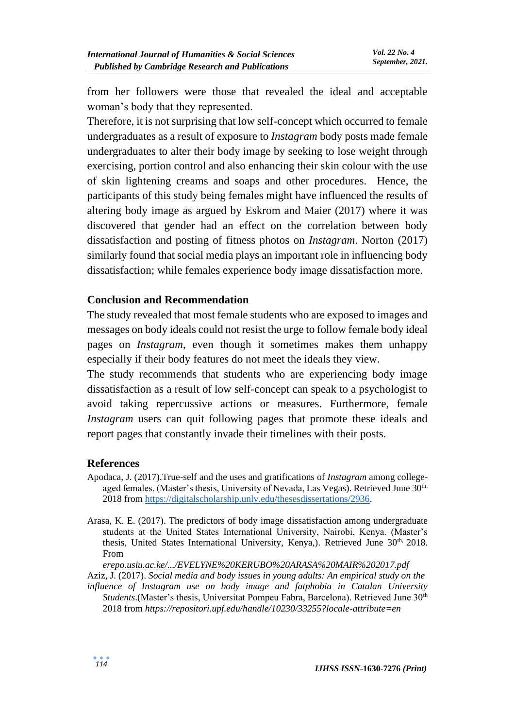from her followers were those that revealed the ideal and acceptable woman's body that they represented.

Therefore, it is not surprising that low self-concept which occurred to female undergraduates as a result of exposure to *Instagram* body posts made female undergraduates to alter their body image by seeking to lose weight through exercising, portion control and also enhancing their skin colour with the use of skin lightening creams and soaps and other procedures. Hence, the participants of this study being females might have influenced the results of altering body image as argued by Eskrom and Maier (2017) where it was discovered that gender had an effect on the correlation between body dissatisfaction and posting of fitness photos on *Instagram*. Norton (2017) similarly found that social media plays an important role in influencing body dissatisfaction; while females experience body image dissatisfaction more.

#### **Conclusion and Recommendation**

The study revealed that most female students who are exposed to images and messages on body ideals could not resist the urge to follow female body ideal pages on *Instagram*, even though it sometimes makes them unhappy especially if their body features do not meet the ideals they view.

The study recommends that students who are experiencing body image dissatisfaction as a result of low self-concept can speak to a psychologist to avoid taking repercussive actions or measures. Furthermore, female *Instagram* users can quit following pages that promote these ideals and report pages that constantly invade their timelines with their posts.

#### **References**

- Apodaca, J. (2017).True-self and the uses and gratifications of *Instagram* among collegeaged females. (Master's thesis, University of Nevada, Las Vegas). Retrieved June 30<sup>th,</sup> 2018 from [https://digitalscholarship.unlv.edu/thesesdissertations/2936.](https://digitalscholarship.unlv.edu/thesesdissertations/2936)
- Arasa, K. E. (2017). The predictors of body image dissatisfaction among undergraduate students at the United States International University, Nairobi, Kenya. (Master's thesis, United States International University, Kenya,). Retrieved June 30<sup>th,</sup> 2018. From

*[erepo.usiu.ac.ke/.../EVELYNE%20KERUBO%20ARASA%20MAIR%202017.pdf](https://www.google.com/url?sa=t&rct=j&q=&esrc=s&source=web&cd=2&ved=2ahUKEwir69bmopXfAhUGzqQKHU-8CRgQFjABegQIBBAC&url=http%3A%2F%2Ferepo.usiu.ac.ke%2Fbitstream%2Fhandle%2F11732%2F3573%2FEVELYNE%2520KERUBO%2520ARASA%2520MAIR%25202017.pdf%3Fsequence%3D1%26isAllowed%3Dy&usg=AOvVaw3keLWOkILq33KfPV5qlSd0)* Aziz, J. (2017). *Social media and body issues in young adults: An empirical study on the influence of Instagram use on body image and fatphobia in Catalan University Students*.(Master's thesis, Universitat Pompeu Fabra, Barcelona). Retrieved June 30th 2018 from *<https://repositori.upf.edu/handle/10230/33255?locale-attribute=en>*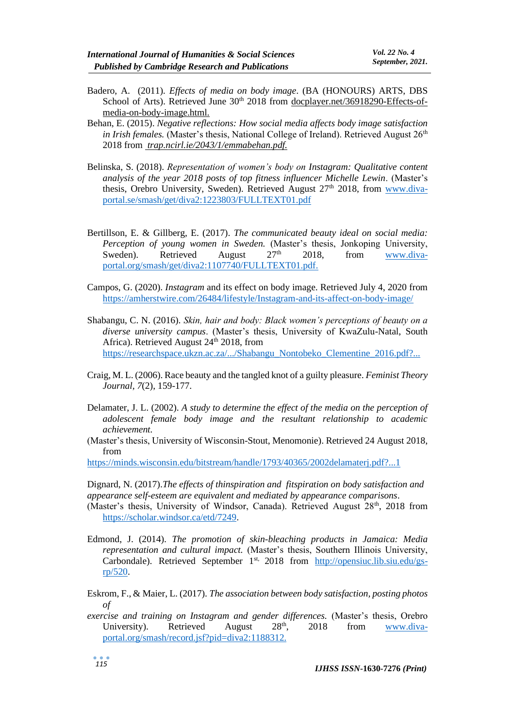- Badero, A. (2011). *Effects of media on body image*. (BA (HONOURS) ARTS, DBS School of Arts). Retrieved June 30<sup>th</sup> 2018 from [docplayer.net/36918290-Effects-of](https://www.google.com/url?sa=t&rct=j&q=&esrc=s&source=web&cd=1&ved=2ahUKEwixz7bXpZXfAhUDxIsKHZINCSUQFjAAegQICBAB&url=http%3A%2F%2Fdocplayer.net%2F36918290-Effects-of-media-on-body-image.html&usg=AOvVaw0e2QdHHMHlTbymttY0ZBCJ)[media-on-body-image.html.](https://www.google.com/url?sa=t&rct=j&q=&esrc=s&source=web&cd=1&ved=2ahUKEwixz7bXpZXfAhUDxIsKHZINCSUQFjAAegQICBAB&url=http%3A%2F%2Fdocplayer.net%2F36918290-Effects-of-media-on-body-image.html&usg=AOvVaw0e2QdHHMHlTbymttY0ZBCJ)
- Behan, E. (2015). *Negative reflections: How social media affects body image satisfaction in Irish females.* (Master's thesis, National College of Ireland). Retrieved August 26<sup>th</sup> 2018 from *[trap.ncirl.ie/2043/1/emmabehan.pdf.](http://trap.ncirl.ie/2043/1/emmabehan.pdf)*
- Belinska, S. (2018). *Representation of women's body on Instagram: Qualitative content analysis of the year 2018 posts of top fitness influencer Michelle Lewin*. (Master's thesis, Orebro University, Sweden). Retrieved August  $27<sup>th</sup>$  2018, from [www.diva](http://www.diva-portal.se/smash/get/diva2:1223803/FULLTEXT01.pdf%0d)[portal.se/smash/get/diva2:1223803/FULLTEXT01.pdf](http://www.diva-portal.se/smash/get/diva2:1223803/FULLTEXT01.pdf%0d)
- Bertillson, E. & Gillberg, E. (2017). *The communicated beauty ideal on social media: Perception of young women in Sweden.* (Master's thesis, Jonkoping University, Sweden). Retrieved August  $27<sup>th</sup>$  2018, from [www.diva](http://www.diva-portal.org/smash/get/diva2:1107740/FULLTEXT01.pdf)[portal.org/smash/get/diva2:1107740/FULLTEXT01.pdf.](http://www.diva-portal.org/smash/get/diva2:1107740/FULLTEXT01.pdf)
- Campos, G. (2020). *Instagram* and its effect on body image. Retrieved July 4, 2020 from [https://amherstwire.com/26484/lifestyle/Instagram-and-its-affect-on-body-image/](https://amherstwire.com/26484/lifestyle/instagram-and-its-affect-on-body-image/)
- Shabangu, C. N. (2016). *Skin, hair and body: Black women's perceptions of beauty on a diverse university campus*. (Master's thesis, University of KwaZulu-Natal, South Africa). Retrieved August  $24<sup>th</sup>$  2018, from [https://researchspace.ukzn.ac.za/.../Shabangu\\_Nontobeko\\_Clementine\\_2016.pdf?...](https://researchspace.ukzn.ac.za/.../Shabangu_Nontobeko_Clementine_2016.pdf?...%0d)
- Craig, M. L. (2006). Race beauty and the tangled knot of a guilty pleasure. *Feminist Theory Journal, 7*(2), 159-177.
- Delamater, J. L. (2002). *A study to determine the effect of the media on the perception of adolescent female body image and the resultant relationship to academic achievement.*
- (Master's thesis, University of Wisconsin-Stout, Menomonie). Retrieved 24 August 2018, from

[https://minds.wisconsin.edu/bitstream/handle/1793/40365/2002delamaterj.pdf?...1](https://minds.wisconsin.edu/bitstream/handle/1793/40365/2002delamaterj.pdf?...1%0d)

Dignard, N. (2017).*The effects of thinspiration and fitspiration on body satisfaction and appearance self-esteem are equivalent and mediated by appearance comparisons*.

- (Master's thesis, University of Windsor, Canada). Retrieved August 28<sup>th</sup>, 2018 from [https://scholar.windsor.ca/etd/7249.](https://scholar.windsor.ca/etd/7249)
- Edmond, J. (2014). *The promotion of skin-bleaching products in Jamaica: Media representation and cultural impact.* (Master's thesis, Southern Illinois University, Carbondale). Retrieved September 1<sup>st,</sup> 2018 from [http://opensiuc.lib.siu.edu/gs](http://opensiuc.lib.siu.edu/gs-rp/520)[rp/520.](http://opensiuc.lib.siu.edu/gs-rp/520)
- Eskrom, F., & Maier, L. (2017). *The association between body satisfaction, posting photos of*
- *exercise and training on Instagram and gender differences.* (Master's thesis, Orebro University). Retrieved August 28<sup>th</sup>, 2018 from [www.diva](http://www.diva-portal.org/smash/record.jsf?pid=diva2:1188312.%20%0d)[portal.org/smash/record.jsf?pid=diva2:1188312.](http://www.diva-portal.org/smash/record.jsf?pid=diva2:1188312.%20%0d)